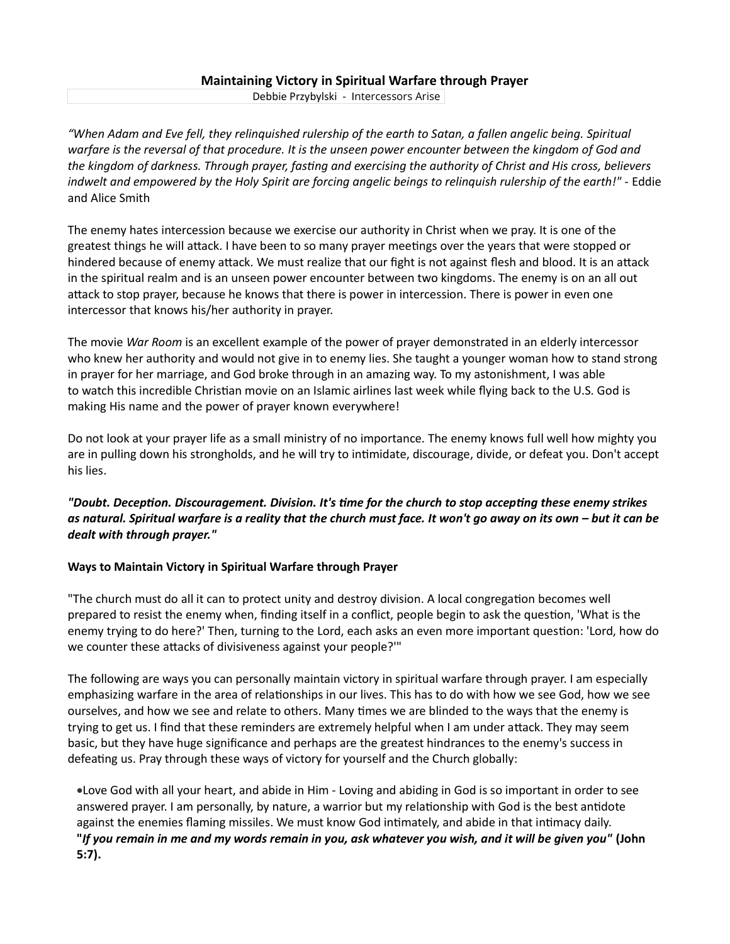# Maintaining Victory in Spiritual Warfare through Prayer

Debbie Przybylski - Intercessors Arise

"When Adam and Eve fell, they relinquished rulership of the earth to Satan, a fallen angelic being. Spiritual warfare is the reversal of that procedure. It is the unseen power encounter between the kingdom of God and the kingdom of darkness. Through prayer, fasting and exercising the authority of Christ and His cross, believers indwelt and empowered by the Holy Spirit are forcing angelic beings to relinquish rulership of the earth!" - Eddie and Alice Smith

The enemy hates intercession because we exercise our authority in Christ when we pray. It is one of the greatest things he will attack. I have been to so many prayer meetings over the years that were stopped or hindered because of enemy attack. We must realize that our fight is not against flesh and blood. It is an attack in the spiritual realm and is an unseen power encounter between two kingdoms. The enemy is on an all out attack to stop prayer, because he knows that there is power in intercession. There is power in even one intercessor that knows his/her authority in prayer.

The movie War Room is an excellent example of the power of prayer demonstrated in an elderly intercessor who knew her authority and would not give in to enemy lies. She taught a younger woman how to stand strong in prayer for her marriage, and God broke through in an amazing way. To my astonishment, I was able to watch this incredible Christian movie on an Islamic airlines last week while flying back to the U.S. God is making His name and the power of prayer known everywhere!

Do not look at your prayer life as a small ministry of no importance. The enemy knows full well how mighty you are in pulling down his strongholds, and he will try to intimidate, discourage, divide, or defeat you. Don't accept his lies.

"Doubt. Deception. Discouragement. Division. It's time for the church to stop accepting these enemy strikes as natural. Spiritual warfare is a reality that the church must face. It won't go away on its own – but it can be dealt with through prayer."

#### Ways to Maintain Victory in Spiritual Warfare through Prayer

"The church must do all it can to protect unity and destroy division. A local congregation becomes well prepared to resist the enemy when, finding itself in a conflict, people begin to ask the question, 'What is the enemy trying to do here?' Then, turning to the Lord, each asks an even more important question: 'Lord, how do we counter these attacks of divisiveness against your people?""

The following are ways you can personally maintain victory in spiritual warfare through prayer. I am especially emphasizing warfare in the area of relationships in our lives. This has to do with how we see God, how we see ourselves, and how we see and relate to others. Many times we are blinded to the ways that the enemy is trying to get us. I find that these reminders are extremely helpful when I am under attack. They may seem basic, but they have huge significance and perhaps are the greatest hindrances to the enemy's success in defeating us. Pray through these ways of victory for yourself and the Church globally:

Love God with all your heart, and abide in Him - Loving and abiding in God is so important in order to see answered prayer. I am personally, by nature, a warrior but my relationship with God is the best antidote against the enemies flaming missiles. We must know God intimately, and abide in that intimacy daily. "If you remain in me and my words remain in you, ask whatever you wish, and it will be given you" (John 5:7).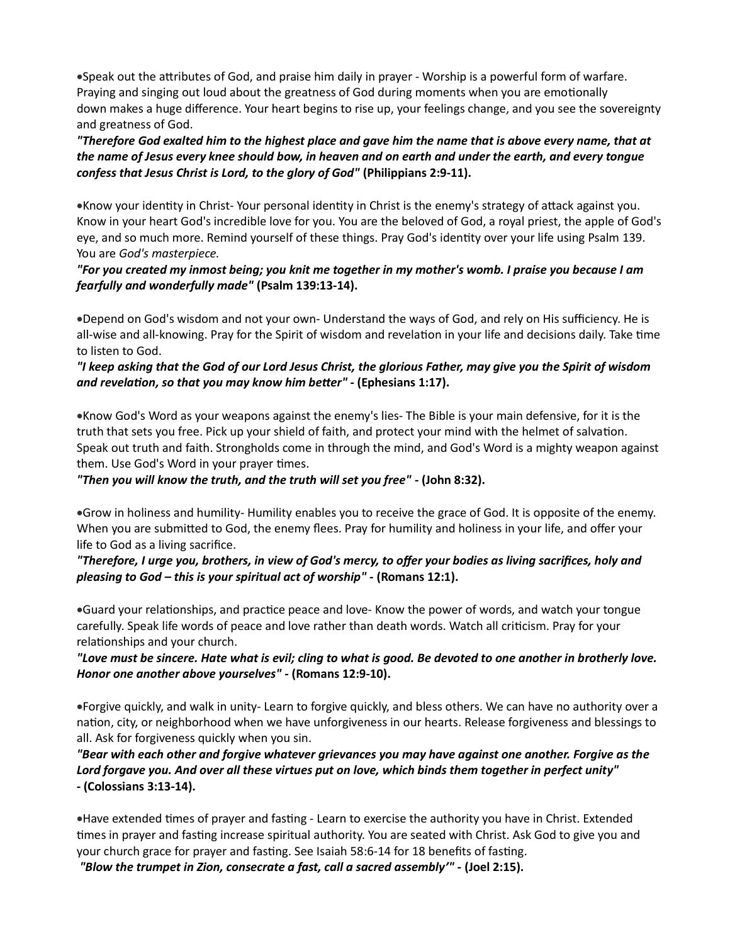Speak out the aƩributes of God, and praise him daily in prayer - Worship is a powerful form of warfare. Praying and singing out loud about the greatness of God during moments when you are emotionally down makes a huge difference. Your heart begins to rise up, your feelings change, and you see the sovereignty and greatness of God.

# "Therefore God exalted him to the highest place and gave him the name that is above every name, that at the name of Jesus every knee should bow, in heaven and on earth and under the earth, and every tongue confess that Jesus Christ is Lord, to the glory of God" (Philippians 2:9-11).

•Know your identity in Christ-Your personal identity in Christ is the enemy's strategy of attack against you. Know in your heart God's incredible love for you. You are the beloved of God, a royal priest, the apple of God's eye, and so much more. Remind yourself of these things. Pray God's identity over your life using Psalm 139. You are God's masterpiece.

# "For you created my inmost being; you knit me together in my mother's womb. I praise you because I am fearfully and wonderfully made" (Psalm 139:13-14).

Depend on God's wisdom and not your own- Understand the ways of God, and rely on His sufficiency. He is all-wise and all-knowing. Pray for the Spirit of wisdom and revelation in your life and decisions daily. Take time to listen to God.

# "I keep asking that the God of our Lord Jesus Christ, the glorious Father, may give you the Spirit of wisdom and revelation, so that you may know him better" - (Ephesians 1:17).

•Know God's Word as your weapons against the enemy's lies- The Bible is your main defensive, for it is the truth that sets you free. Pick up your shield of faith, and protect your mind with the helmet of salvation. Speak out truth and faith. Strongholds come in through the mind, and God's Word is a mighty weapon against them. Use God's Word in your prayer times.

### "Then you will know the truth, and the truth will set you free" - (John 8:32).

Grow in holiness and humility- Humility enables you to receive the grace of God. It is opposite of the enemy. When you are submitted to God, the enemy flees. Pray for humility and holiness in your life, and offer your life to God as a living sacrifice.

### "Therefore, I urge you, brothers, in view of God's mercy, to offer your bodies as living sacrifices, holy and pleasing to God – this is your spiritual act of worship" - (Romans 12:1).

Guard your relaƟonships, and pracƟce peace and love- Know the power of words, and watch your tongue carefully. Speak life words of peace and love rather than death words. Watch all criticism. Pray for your relationships and your church.

### "Love must be sincere. Hate what is evil; cling to what is good. Be devoted to one another in brotherly love. Honor one another above yourselves" - (Romans 12:9-10).

Forgive quickly, and walk in unity- Learn to forgive quickly, and bless others. We can have no authority over a nation, city, or neighborhood when we have unforgiveness in our hearts. Release forgiveness and blessings to all. Ask for forgiveness quickly when you sin.

# "Bear with each other and forgive whatever grievances you may have against one another. Forgive as the Lord forgave you. And over all these virtues put on love, which binds them together in perfect unity" - (Colossians 3:13-14).

• Have extended times of prayer and fasting - Learn to exercise the authority you have in Christ. Extended times in prayer and fasting increase spiritual authority. You are seated with Christ. Ask God to give you and your church grace for prayer and fasting. See Isaiah 58:6-14 for 18 benefits of fasting.

"Blow the trumpet in Zion, consecrate a fast, call a sacred assembly'" - (Joel 2:15).